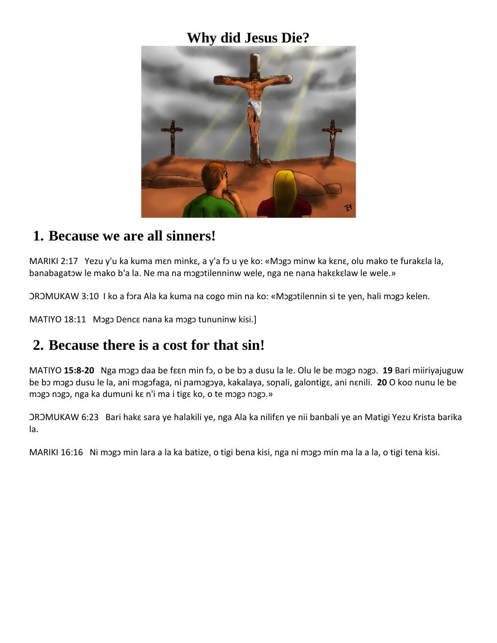#### **Why did Jesus Die?**



#### **1. Because we are all sinners!**

MARIKI 2:17 Yezu y'u ka kuma mɛn minkɛ, a y'a fɔ u ye ko: «Mɔgɔ minw ka kɛnɛ, olu mako te furakɛla la, banabagatɔw le mako b'a la. Ne ma na mɔgɔtilenninw wele, nga ne nana hakɛkɛlaw le wele.»

ƆRƆMUKAW 3:10 I ko a fɔra Ala ka kuma na cogo min na ko: «Mɔgɔtilennin si te yen, hali mɔgɔ kelen.

MATIYO 18:11 Mɔgɔ Dencɛ nana ka mɔgɔ tununinw kisi.]

### **2. Because there is a cost for that sin!**

MATIYO **15:8-20** Nga mɔgɔ daa be fɛɛn min fɔ, o be bɔ a dusu la le. Olu le be mɔgɔ nɔgɔ. **19** Bari miiriyajuguw be bɔ mɔgɔ dusu le la, ani mɔgɔfaga, ni ɲamɔgɔya, kakalaya, soɲali, galontigɛ, ani nɛnili. **20** O koo nunu le be mɔgɔ nɔgɔ, nga ka dumuni kɛ n'i ma i tigɛ ko, o te mɔgɔ nɔgɔ.»

ƆRƆMUKAW 6:23 Bari hakɛ sara ye halakili ye, nga Ala ka nilifɛn ye nii banbali ye an Matigi Yezu Krista barika la.

MARIKI 16:16 Ni mɔgɔ min lara a la ka batize, o tigi bena kisi, nga ni mɔgɔ min ma la a la, o tigi tena kisi.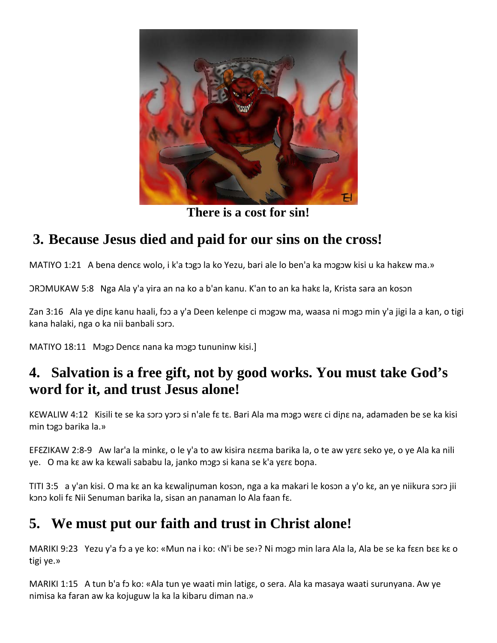

**There is a cost for sin!**

# **3. Because Jesus died and paid for our sins on the cross!**

MATIYO 1:21 A bena dencɛ wolo, i k'a tɔgɔ la ko Yezu, bari ale lo ben'a ka mɔgɔw kisi u ka hakɛw ma.»

ƆRƆMUKAW 5:8 Nga Ala y'a yira an na ko a b'an kanu. K'an to an ka hakɛ la, Krista sara an kosɔn

Zan 3:16 Ala ye diɲɛ kanu haali, fɔɔ a y'a Deen kelenpe ci mɔgɔw ma, waasa ni mɔgɔ min y'a jigi la a kan, o tigi kana halaki, nga o ka nii banbali sɔrɔ.

MATIYO 18:11 Mɔgɔ Dencɛ nana ka mɔgɔ tununinw kisi.]

# **4. Salvation is a free gift, not by good works. You must take God's word for it, and trust Jesus alone!**

KEWALIW 4:12 Kisili te se ka soro yoro si n'ale fa ta. Bari Ala ma mogo wara ci dina na, adamaden be se ka kisi min tɔgɔ barika la.»

EFƐZIKAW 2:8-9 Aw lar'a la minkɛ, o le y'a to aw kisira nɛɛma barika la, o te aw yɛrɛ seko ye, o ye Ala ka nili ye. O ma kɛ aw ka kɛwali sababu la, janko mɔgɔ si kana se k'a yɛrɛ boɲa.

TITI 3:5 a y'an kisi. O ma kɛ an ka kɛwaliɲuman kosɔn, nga a ka makari le kosɔn a y'o kɛ, an ye niikura sɔrɔ jii kɔnɔ koli fɛ Nii Senuman barika la, sisan an ɲanaman lo Ala faan fɛ.

# **5. We must put our faith and trust in Christ alone!**

MARIKI 9:23 Yezu y'a fɔ a ye ko: «Mun na i ko: ‹N'i be se›? Ni mɔgɔ min lara Ala la, Ala be se ka fɛɛn bɛɛ kɛ o tigi ye.»

MARIKI 1:15 A tun b'a fɔ ko: «Ala tun ye waati min latigɛ, o sera. Ala ka masaya waati surunyana. Aw ye nimisa ka faran aw ka kojuguw la ka la kibaru diman na.»